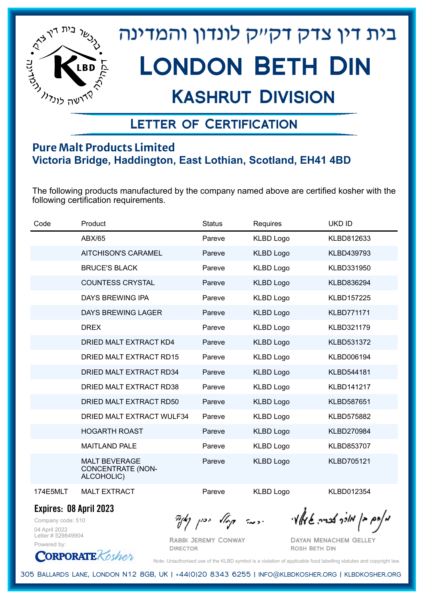

# בית דין צדק דקייק לונדון והמדינה LONDON BETH DIN

## Kashrut Division

### Letter of Certification

#### **Pure Malt Products Limited Victoria Bridge, Haddington, East Lothian, Scotland, EH41 4BD**

The following products manufactured by the company named above are certified kosher with the following certification requirements.

| Code            | Product                                                        | <b>Status</b> | Requires         | <b>UKD ID</b>     |
|-----------------|----------------------------------------------------------------|---------------|------------------|-------------------|
|                 | ABX/65                                                         | Pareve        | <b>KLBD Logo</b> | KLBD812633        |
|                 | <b>AITCHISON'S CARAMEL</b>                                     | Pareve        | <b>KLBD Logo</b> | KLBD439793        |
|                 | <b>BRUCE'S BLACK</b>                                           | Pareve        | <b>KLBD Logo</b> | KLBD331950        |
|                 | <b>COUNTESS CRYSTAL</b>                                        | Pareve        | <b>KLBD Logo</b> | KLBD836294        |
|                 | DAYS BREWING IPA                                               | Pareve        | <b>KLBD Logo</b> | <b>KLBD157225</b> |
|                 | DAYS BREWING LAGER                                             | Pareve        | <b>KLBD Logo</b> | <b>KLBD771171</b> |
|                 | <b>DREX</b>                                                    | Pareve        | <b>KLBD Logo</b> | KLBD321179        |
|                 | DRIED MALT EXTRACT KD4                                         | Pareve        | <b>KLBD Logo</b> | KLBD531372        |
|                 | DRIED MALT EXTRACT RD15                                        | Pareve        | <b>KLBD Logo</b> | KLBD006194        |
|                 | DRIED MALT EXTRACT RD34                                        | Pareve        | <b>KLBD Logo</b> | KLBD544181        |
|                 | DRIED MALT EXTRACT RD38                                        | Pareve        | <b>KLBD Logo</b> | KLBD141217        |
|                 | DRIED MALT EXTRACT RD50                                        | Pareve        | <b>KLBD Logo</b> | <b>KLBD587651</b> |
|                 | DRIED MALT EXTRACT WULF34                                      | Pareve        | <b>KLBD Logo</b> | <b>KLBD575882</b> |
|                 | <b>HOGARTH ROAST</b>                                           | Pareve        | <b>KLBD Logo</b> | KLBD270984        |
|                 | <b>MAITLAND PALE</b>                                           | Pareve        | <b>KLBD Logo</b> | KLBD853707        |
|                 | <b>MALT BEVERAGE</b><br><b>CONCENTRATE (NON-</b><br>ALCOHOLIC) | Pareve        | <b>KLBD Logo</b> | <b>KLBD705121</b> |
| <b>174E5MLT</b> | <b>MALT EXTRACT</b>                                            | Pareve        | <b>KLBD Logo</b> | KLBD012354        |

**Expires: 08 April 2023**

Company code: 510 04 April 2022 Letter # 529849904 Powered by:



Rabbi Jeremy Conway

**DIRECTOR** 

Dayan Menachem Gelley Rosh Beth Din

Note: Unauthorised use of the KLBD symbol is a violation of applicable food labelling statutes and copyright law.

305 Ballards Lane, London N12 8GB, UK | +44(0)20 8343 6255 | info@klbdkosher.org | klbdkosher.org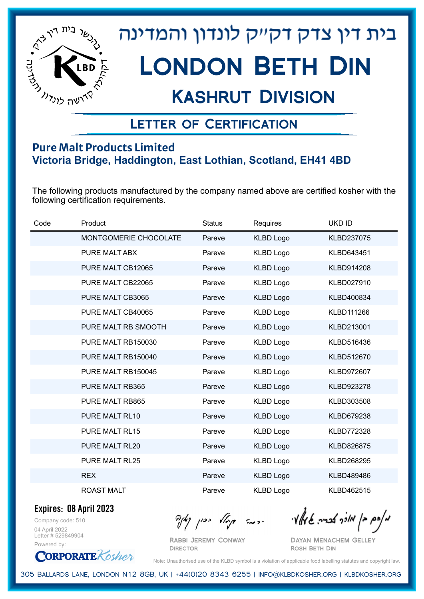

# בית דין צדק דקייק לונדון והמדינה London Beth Din

## Kashrut Division

### Letter of Certification

#### **Pure Malt Products Limited Victoria Bridge, Haddington, East Lothian, Scotland, EH41 4BD**

The following products manufactured by the company named above are certified kosher with the following certification requirements.

| Code | Product               | <b>Status</b> | Requires         | UKD ID            |
|------|-----------------------|---------------|------------------|-------------------|
|      | MONTGOMERIE CHOCOLATE | Pareve        | <b>KLBD Logo</b> | KLBD237075        |
|      | PURE MALT ABX         | Pareve        | <b>KLBD Logo</b> | KLBD643451        |
|      | PURE MALT CB12065     | Pareve        | <b>KLBD Logo</b> | KLBD914208        |
|      | PURE MALT CB22065     | Pareve        | <b>KLBD Logo</b> | KLBD027910        |
|      | PURE MALT CB3065      | Pareve        | <b>KLBD Logo</b> | KLBD400834        |
|      | PURE MALT CB40065     | Pareve        | <b>KLBD Logo</b> | KLBD111266        |
|      | PURE MALT RB SMOOTH   | Pareve        | <b>KLBD Logo</b> | KLBD213001        |
|      | PURE MALT RB150030    | Pareve        | <b>KLBD Logo</b> | KLBD516436        |
|      | PURE MALT RB150040    | Pareve        | <b>KLBD Logo</b> | KLBD512670        |
|      | PURE MALT RB150045    | Pareve        | <b>KLBD Logo</b> | KLBD972607        |
|      | PURE MALT RB365       | Pareve        | <b>KLBD Logo</b> | KLBD923278        |
|      | PURE MALT RB865       | Pareve        | <b>KLBD Logo</b> | KLBD303508        |
|      | PURE MALT RL10        | Pareve        | <b>KLBD Logo</b> | KLBD679238        |
|      | <b>PURE MALT RL15</b> | Pareve        | <b>KLBD Logo</b> | <b>KLBD772328</b> |
|      | PURE MALT RL20        | Pareve        | <b>KLBD Logo</b> | KLBD826875        |
|      | PURE MALT RL25        | Pareve        | <b>KLBD Logo</b> | KLBD268295        |
|      | <b>REX</b>            | Pareve        | <b>KLBD Logo</b> | KLBD489486        |
|      | <b>ROAST MALT</b>     | Pareve        | <b>KLBD Logo</b> | KLBD462515        |

**Expires: 08 April 2023**

Company code: 510 04 April 2022 Letter # 529849904 Powered by:

**CORPORATE** Kosher

מאחם בן מורך אבריה שמאלי היה קיילא יכין קאין

Rabbi Jeremy Conway **DIRECTOR** 

Dayan Menachem Gelley Rosh Beth Din

Note: Unauthorised use of the KLBD symbol is a violation of applicable food labelling statutes and copyright law.

305 Ballards Lane, London N12 8GB, UK | +44(0)20 8343 6255 | info@klbdkosher.org | klbdkosher.org